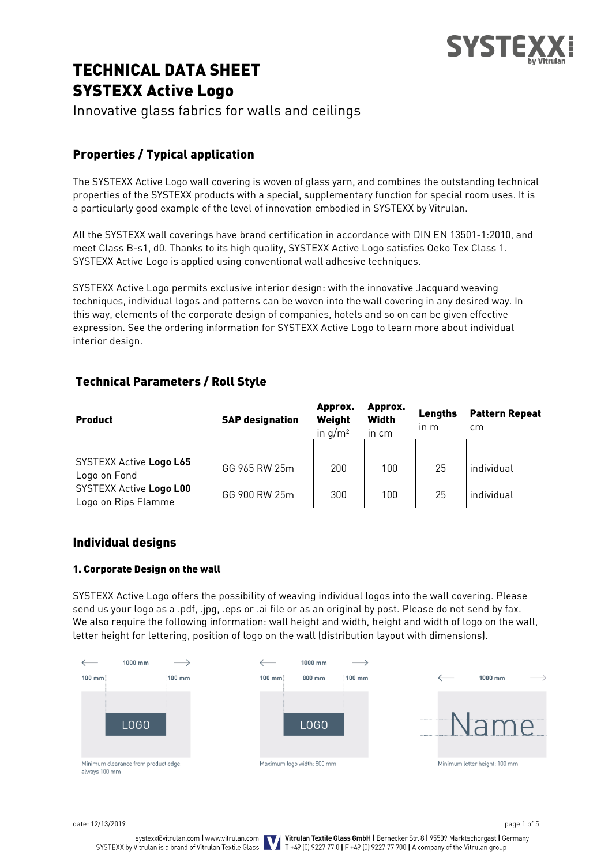

# TECHNICAL DATA SHEET SYSTEXX Active Logo

Innovative glass fabrics for walls and ceilings

# Properties / Typical application

The SYSTEXX Active Logo wall covering is woven of glass yarn, and combines the outstanding technical properties of the SYSTEXX products with a special, supplementary function for special room uses. It is a particularly good example of the level of innovation embodied in SYSTEXX by Vitrulan.

All the SYSTEXX wall coverings have brand certification in accordance with DIN EN 13501-1:2010, and meet Class B-s1, d0. Thanks to its high quality, SYSTEXX Active Logo satisfies Oeko Tex Class 1. SYSTEXX Active Logo is applied using conventional wall adhesive techniques.

SYSTEXX Active Logo permits exclusive interior design: with the innovative Jacquard weaving techniques, individual logos and patterns can be woven into the wall covering in any desired way. In this way, elements of the corporate design of companies, hotels and so on can be given effective expression. See the ordering information for SYSTEXX Active Logo to learn more about individual interior design.

# Technical Parameters / Roll Style

| <b>Product</b>                                 | <b>SAP designation</b> | Approx.<br>Weight<br>in $q/m^2$ | Approx.<br><b>Width</b><br>in cm | Lenaths<br>$\ln m$ | <b>Pattern Repeat</b><br>cm |
|------------------------------------------------|------------------------|---------------------------------|----------------------------------|--------------------|-----------------------------|
| SYSTEXX Active Logo L65<br>Logo on Fond        | GG 965 RW 25m          | 200                             | 100                              | 25                 | individual                  |
| SYSTEXX Active Logo L00<br>Logo on Rips Flamme | GG 900 RW 25m          | 300                             | 100                              | 25                 | individual                  |

# Individual designs

# 1. Corporate Design on the wall

SYSTEXX Active Logo offers the possibility of weaving individual logos into the wall covering. Please send us your logo as a .pdf, .jpg, .eps or .ai file or as an original by post. Please do not send by fax. We also require the following information: wall height and width, height and width of logo on the wall, letter height for lettering, position of logo on the wall (distribution layout with dimensions).



date: 12/13/2019 page 1 of 5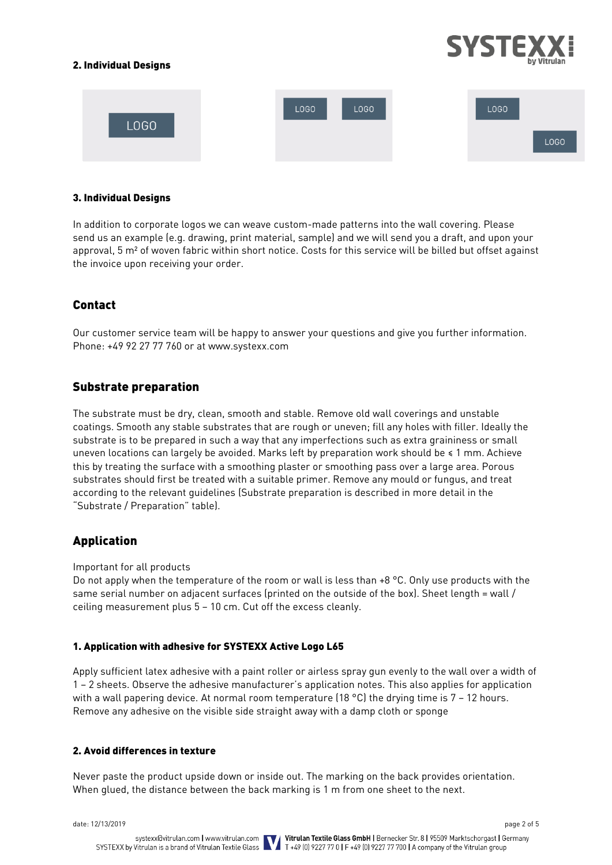## 2. Individual Designs



### 3. Individual Designs

In addition to corporate logos we can weave custom-made patterns into the wall covering. Please send us an example (e.g. drawing, print material, sample) and we will send you a draft, and upon your approval, 5 m² of woven fabric within short notice. Costs for this service will be billed but offset against the invoice upon receiving your order.

# Contact

Our customer service team will be happy to answer your questions and give you further information. Phone: +49 92 27 77 760 or at www.systexx.com

# Substrate preparation

The substrate must be dry, clean, smooth and stable. Remove old wall coverings and unstable coatings. Smooth any stable substrates that are rough or uneven; fill any holes with filler. Ideally the substrate is to be prepared in such a way that any imperfections such as extra graininess or small uneven locations can largely be avoided. Marks left by preparation work should be ≤ 1 mm. Achieve this by treating the surface with a smoothing plaster or smoothing pass over a large area. Porous substrates should first be treated with a suitable primer. Remove any mould or fungus, and treat according to the relevant guidelines (Substrate preparation is described in more detail in the "Substrate / Preparation" table).

# Application

Important for all products

Do not apply when the temperature of the room or wall is less than +8 °C. Only use products with the same serial number on adjacent surfaces (printed on the outside of the box). Sheet length = wall / ceiling measurement plus 5 – 10 cm. Cut off the excess cleanly.

### 1. Application with adhesive for SYSTEXX Active Logo L65

Apply sufficient latex adhesive with a paint roller or airless spray gun evenly to the wall over a width of 1 – 2 sheets. Observe the adhesive manufacturer's application notes. This also applies for application with a wall papering device. At normal room temperature  $(18 \text{ °C})$  the drying time is  $7 - 12$  hours. Remove any adhesive on the visible side straight away with a damp cloth or sponge

### 2. Avoid differences in texture

Never paste the product upside down or inside out. The marking on the back provides orientation. When glued, the distance between the back marking is 1 m from one sheet to the next.

date: 12/13/2019 page 2 of 5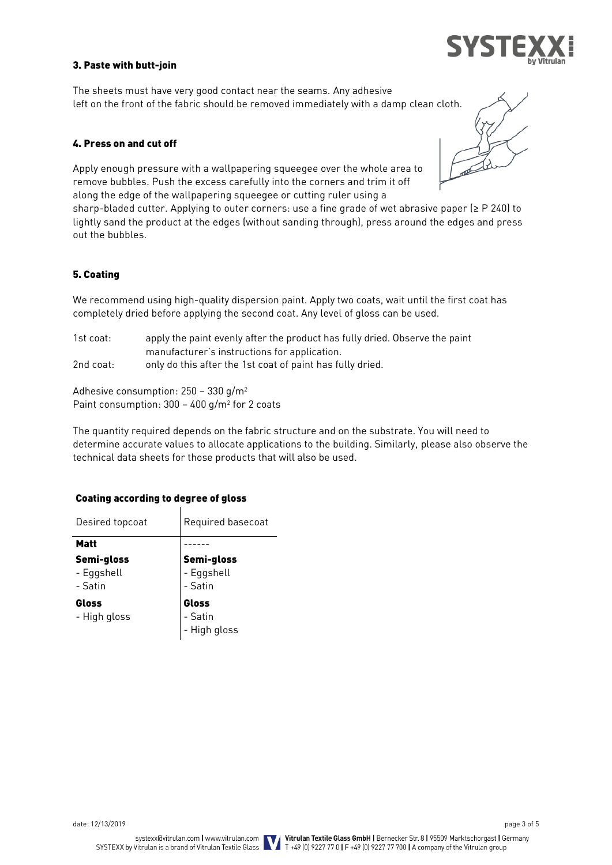### 3. Paste with butt-join

The sheets must have very good contact near the seams. Any adhesive left on the front of the fabric should be removed immediately with a damp clean cloth.

### 4. Press on and cut off

Apply enough pressure with a wallpapering squeegee over the whole area to remove bubbles. Push the excess carefully into the corners and trim it off along the edge of the wallpapering squeegee or cutting ruler using a

sharp-bladed cutter. Applying to outer corners: use a fine grade of wet abrasive paper (≥ P 240) to lightly sand the product at the edges (without sanding through), press around the edges and press out the bubbles.

#### 5. Coating

We recommend using high-quality dispersion paint. Apply two coats, wait until the first coat has completely dried before applying the second coat. Any level of gloss can be used.

| 1st coat: | apply the paint evenly after the product has fully dried. Observe the paint |
|-----------|-----------------------------------------------------------------------------|
|           | manufacturer's instructions for application.                                |
| 2nd coat: | only do this after the 1st coat of paint has fully dried.                   |

Adhesive consumption: 250 – 330 g/m<sup>2</sup> Paint consumption:  $300 - 400$  g/m<sup>2</sup> for 2 coats

The quantity required depends on the fabric structure and on the substrate. You will need to determine accurate values to allocate applications to the building. Similarly, please also observe the technical data sheets for those products that will also be used.

### Coating according to degree of gloss

| Desired topcoat                     | Required basecoat                   |  |
|-------------------------------------|-------------------------------------|--|
| <b>Matt</b>                         |                                     |  |
| Semi-gloss<br>- Eggshell<br>- Satin | Semi-gloss<br>- Eggshell<br>- Satin |  |
| Gloss<br>- High gloss               | Gloss<br>- Satin<br>- High gloss    |  |

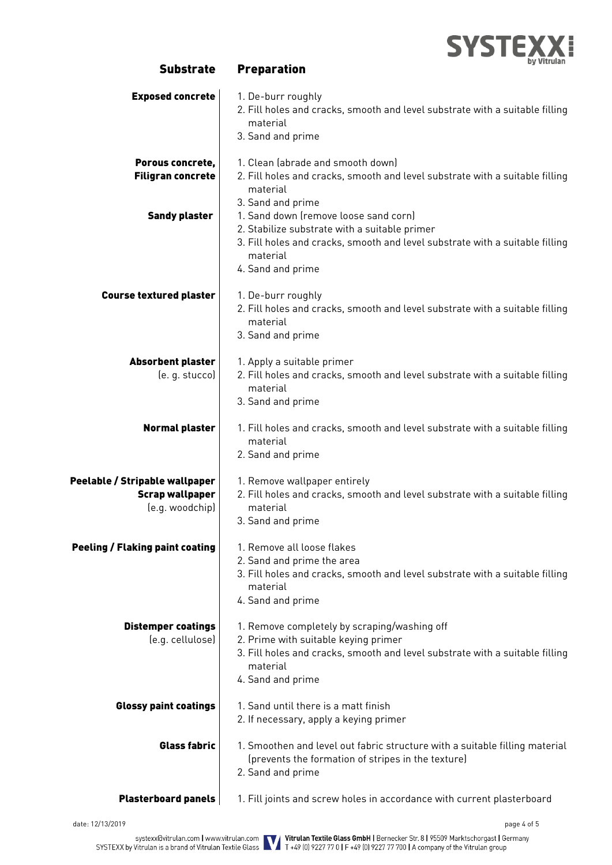

| <b>Exposed concrete</b>                                                     | 1. De-burr roughly<br>2. Fill holes and cracks, smooth and level substrate with a suitable filling<br>material<br>3. Sand and prime                                                                     |  |  |
|-----------------------------------------------------------------------------|---------------------------------------------------------------------------------------------------------------------------------------------------------------------------------------------------------|--|--|
| Porous concrete,<br><b>Filigran concrete</b>                                | 1. Clean (abrade and smooth down)<br>2. Fill holes and cracks, smooth and level substrate with a suitable filling<br>material<br>3. Sand and prime                                                      |  |  |
| <b>Sandy plaster</b>                                                        | 1. Sand down (remove loose sand corn)<br>2. Stabilize substrate with a suitable primer<br>3. Fill holes and cracks, smooth and level substrate with a suitable filling<br>material<br>4. Sand and prime |  |  |
| <b>Course textured plaster</b>                                              | 1. De-burr roughly<br>2. Fill holes and cracks, smooth and level substrate with a suitable filling<br>material<br>3. Sand and prime                                                                     |  |  |
| Absorbent plaster<br>(e. g. stucco)                                         | 1. Apply a suitable primer<br>2. Fill holes and cracks, smooth and level substrate with a suitable filling<br>material<br>3. Sand and prime                                                             |  |  |
| <b>Normal plaster</b>                                                       | 1. Fill holes and cracks, smooth and level substrate with a suitable filling<br>material<br>2. Sand and prime                                                                                           |  |  |
| Peelable / Stripable wallpaper<br><b>Scrap wallpaper</b><br>(e.g. woodchip) | 1. Remove wallpaper entirely<br>2. Fill holes and cracks, smooth and level substrate with a suitable filling<br>material<br>3. Sand and prime                                                           |  |  |
| <b>Peeling / Flaking paint coating</b>                                      | 1. Remove all loose flakes<br>2. Sand and prime the area<br>3. Fill holes and cracks, smooth and level substrate with a suitable filling<br>material<br>4. Sand and prime                               |  |  |
| <b>Distemper coatings</b><br>(e.g. cellulose)                               | 1. Remove completely by scraping/washing off<br>2. Prime with suitable keying primer<br>3. Fill holes and cracks, smooth and level substrate with a suitable filling<br>material<br>4. Sand and prime   |  |  |
| <b>Glossy paint coatings</b>                                                | 1. Sand until there is a matt finish<br>2. If necessary, apply a keying primer                                                                                                                          |  |  |
| <b>Glass fabric</b>                                                         | 1. Smoothen and level out fabric structure with a suitable filling material<br>(prevents the formation of stripes in the texture)<br>2. Sand and prime                                                  |  |  |
| <b>Plasterboard panels</b>                                                  | 1. Fill joints and screw holes in accordance with current plasterboard                                                                                                                                  |  |  |

Substrate Preparation

date: 12/13/2019 page 4 of 5